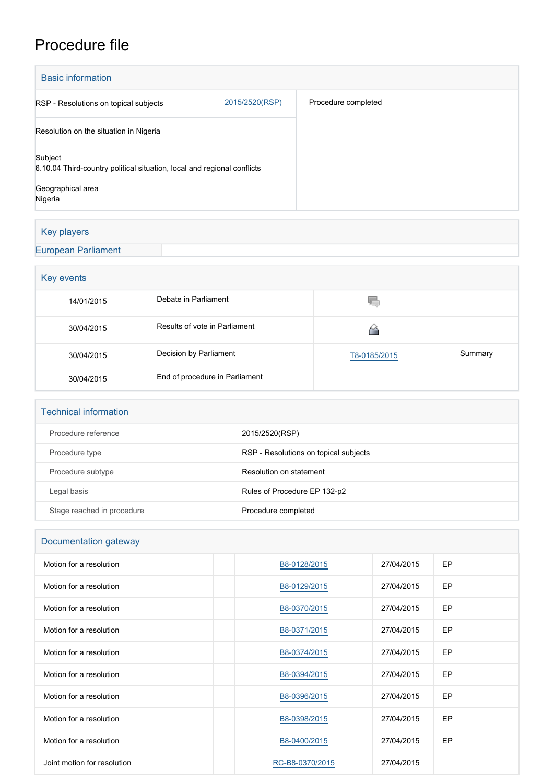## Procedure file

| <b>Basic information</b>                                                           |                |                     |  |  |
|------------------------------------------------------------------------------------|----------------|---------------------|--|--|
| RSP - Resolutions on topical subjects                                              | 2015/2520(RSP) | Procedure completed |  |  |
| Resolution on the situation in Nigeria                                             |                |                     |  |  |
| Subject<br>6.10.04 Third-country political situation, local and regional conflicts |                |                     |  |  |
| Geographical area<br>Nigeria                                                       |                |                     |  |  |

## Key players

## [European Parliament](http://www.europarl.europa.eu/)

| Key events |                                |              |         |  |  |
|------------|--------------------------------|--------------|---------|--|--|
| 14/01/2015 | Debate in Parliament           | YГ           |         |  |  |
| 30/04/2015 | Results of vote in Parliament  |              |         |  |  |
| 30/04/2015 | Decision by Parliament         | T8-0185/2015 | Summary |  |  |
| 30/04/2015 | End of procedure in Parliament |              |         |  |  |

| <b>Technical information</b> |                                       |
|------------------------------|---------------------------------------|
| Procedure reference          | 2015/2520(RSP)                        |
| Procedure type               | RSP - Resolutions on topical subjects |
| Procedure subtype            | Resolution on statement               |
| Legal basis                  | Rules of Procedure EP 132-p2          |
| Stage reached in procedure   | Procedure completed                   |

| Documentation gateway       |                 |            |           |  |  |
|-----------------------------|-----------------|------------|-----------|--|--|
| Motion for a resolution     | B8-0128/2015    | 27/04/2015 | <b>EP</b> |  |  |
| Motion for a resolution     | B8-0129/2015    | 27/04/2015 | <b>EP</b> |  |  |
| Motion for a resolution     | B8-0370/2015    | 27/04/2015 | <b>EP</b> |  |  |
| Motion for a resolution     | B8-0371/2015    | 27/04/2015 | <b>EP</b> |  |  |
| Motion for a resolution     | B8-0374/2015    | 27/04/2015 | EP        |  |  |
| Motion for a resolution     | B8-0394/2015    | 27/04/2015 | <b>EP</b> |  |  |
| Motion for a resolution     | B8-0396/2015    | 27/04/2015 | EP        |  |  |
| Motion for a resolution     | B8-0398/2015    | 27/04/2015 | EP        |  |  |
| Motion for a resolution     | B8-0400/2015    | 27/04/2015 | EP        |  |  |
| Joint motion for resolution | RC-B8-0370/2015 | 27/04/2015 |           |  |  |